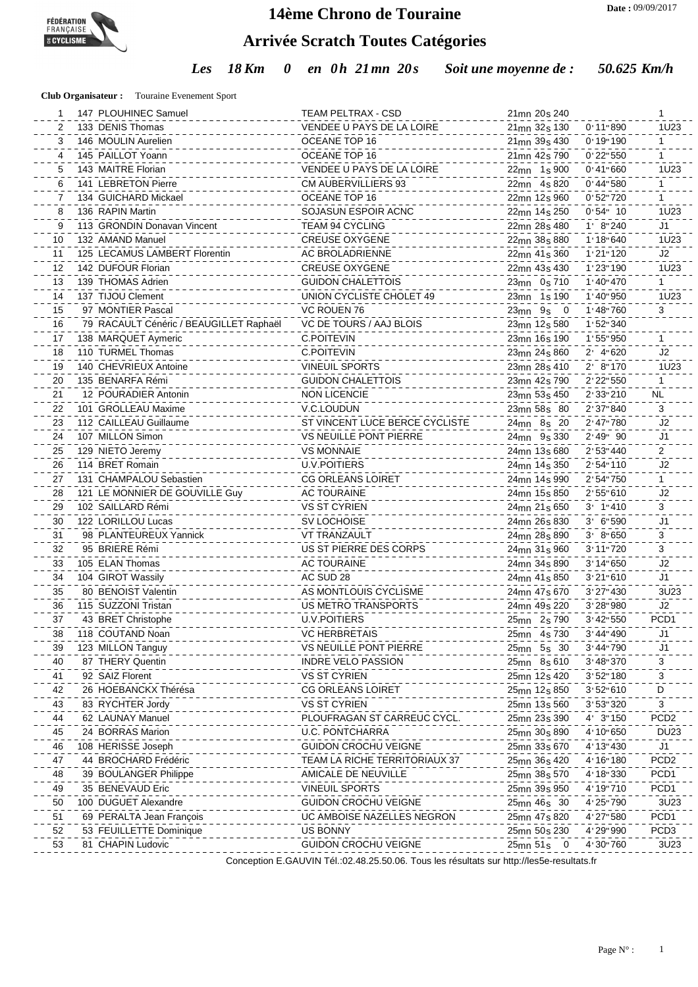

#### **14ème Chrono de Touraine**

# **Arrivée Scratch Toutes Catégories**

*Les 18 Km 0 en 0h 21mn 20s Soit une moyenne de : 50.625 Km/h*

**Club Organisateur :** Touraine Evenement Sport

| 1  | 147 PLOUHINEC Samuel                    | TEAM PELTRAX - CSD             | 21 <sub>mn</sub> 20 <sub>s</sub> 240                | 1                                |
|----|-----------------------------------------|--------------------------------|-----------------------------------------------------|----------------------------------|
| 2  | 133 DENIS Thomas                        | VENDEE U PAYS DE LA LOIRE      | 0:11"890<br>21 <sub>mn</sub> 32 <sub>s</sub> 130    | 1U23                             |
| 3  | 146 MOULIN Aurelien                     | OCEANE TOP 16                  | 0'19'190<br>21mn 39s 430                            | 1                                |
| 4  | 145 PAILLOT Yoann                       | OCEANE TOP 16                  | 0'22"550<br>21 <sub>mn</sub> 42 <sub>s</sub> 790    | 1                                |
| 5  | 143 MAITRE Florian                      | VENDEE U PAYS DE LA LOIRE      | 0' 41'' 660<br>22mn 1s 900                          | 1U23                             |
| 6  | 141 LEBRETON Pierre                     | <b>CM AUBERVILLIERS 93</b>     | $0'$ 44" 580<br>22mn 4s 820                         | $\mathbf{1}$                     |
| 7  | 134 GUICHARD Mickael                    | OCEANE TOP 16                  | 0:52:720<br>22mn 12s 960                            | 1                                |
| 8  | 136 RAPIN Martin                        | SOJASUN ESPOIR ACNC            | $0.54$ " 10<br>22 <sub>mn</sub> 14 <sub>s</sub> 250 | 1U23                             |
| 9  | 113 GRONDIN Donavan Vincent             | TEAM 94 CYCLING                | 1' 8'' 240<br>22mn 28s 480                          | J <sub>1</sub>                   |
| 10 | 132 AMAND Manuel                        | <b>CREUSE OXYGENE</b>          | 1'18''640<br>22mn 38s 880                           | 1U23                             |
| 11 | 125 LECAMUS LAMBERT Florentin           | AC BROLADRIENNE                | 1'21'120<br>22 <sub>mn</sub> 41 <sub>s</sub> 360    | J2                               |
| 12 | 142 DUFOUR Florian                      | <b>CREUSE OXYGENE</b>          | 1'23"190<br>22mn 43s 430                            | 1U23                             |
| 13 | 139 THOMAS Adrien                       | <b>GUIDON CHALETTOIS</b>       | 1'40''470<br>23mn 0s 710                            | $\mathbf{1}$                     |
| 14 | 137 TIJOU Clement                       | UNION CYCLISTE CHOLET 49       | $1'$ 40" 950<br>23 <sub>mn</sub> 1 <sub>s</sub> 190 | 1U23                             |
| 15 | 97 MONTIER Pascal                       | VC ROUEN 76                    | 1' 48'' 760<br>$23mn$ $9s$ 0                        | 3                                |
| 16 | 79 RACAULT Cénéric / BEAUGILLET Raphaël | VC DE TOURS / AAJ BLOIS        | 1'52"340<br>23mn 12s 580                            |                                  |
| 17 | 138 MARQUET Aymeric                     | <b>C.POITEVIN</b>              | 1'55"950<br>23mn 16s 190                            |                                  |
| 18 | 110 TURMEL Thomas                       | <b>C.POITEVIN</b>              | $2'$ 4"620<br>23mn 24s 860                          | J2                               |
| 19 | 140 CHEVRIEUX Antoine                   | <b>VINEUIL SPORTS</b>          | 2' 8'' 170<br>23mn 28s 410                          | 1U23                             |
| 20 | 135 BENARFA Rémi                        | <b>GUIDON CHALETTOIS</b>       | 2' 22" 550<br>23mn 42s 790                          | $\mathbf{1}$                     |
| 21 | 12 POURADIER Antonin                    | <b>NON LICENCIE</b>            | 2'33"210                                            | <b>NL</b>                        |
|    | 101 GROLLEAU Maxime                     | V.C.LOUDUN                     | 23mn 53s 450<br>2' 37" 840                          | 3                                |
| 22 | 112 CAILLEAU Guillaume                  | ST VINCENT LUCE BERCE CYCLISTE | 23mn 58s 80<br>2'47"780                             | J <sub>2</sub>                   |
| 23 | 107 MILLON Simon                        | <b>VS NEUILLE PONT PIERRE</b>  | 24mn 8s 20<br>2'49" 90                              |                                  |
| 24 |                                         |                                | 24mn 9s 330                                         | J <sub>1</sub><br>$\overline{2}$ |
| 25 | 129 NIETO Jeremy                        | <b>VS MONNAIE</b>              | 2' 53" 440<br>24mn 13s 680                          |                                  |
| 26 | 114 BRET Romain                         | <b>U.V.POITIERS</b>            | 2'54"110<br>24mn 14s 350                            | J <sub>2</sub>                   |
| 27 | 131 CHAMPALOU Sebastien                 | <b>CG ORLEANS LOIRET</b>       | 2'54"750<br>24mn 14s 990                            | $\mathbf{1}$                     |
| 28 | 121 LE MONNIER DE GOUVILLE Guy          | <b>AC TOURAINE</b>             | 2'55''610<br>24mn 15s 850                           | J2                               |
| 29 | 102 SAILLARD Rémi                       | <b>VS ST CYRIEN</b>            | $3'$ 1"410<br>24mn 21s 650                          | 3                                |
| 30 | 122 LORILLOU Lucas                      | <b>SV LOCHOISE</b>             | 3' 6"590<br>24mn 26s 830                            | J1                               |
| 31 | 98 PLANTEUREUX Yannick                  | <b>VT TRANZAULT</b>            | 3' 8''650<br>24mn 28s 890                           | 3                                |
| 32 | 95 BRIERE Rémi                          | US ST PIERRE DES CORPS         | 3' 11" 720<br>24mn 31s 960                          | 3                                |
| 33 | 105 ELAN Thomas                         | <b>AC TOURAINE</b>             | 3' 14" 650<br>24mn 34s 890                          | J <sub>2</sub>                   |
| 34 | 104 GIROT Wassily                       | AC SUD 28                      | 3'21''610<br>24mn 41s 850                           | J1                               |
| 35 | 80 BENOIST Valentin                     | AS MONTLOUIS CYCLISME          | 3' 27" 430<br>24mn 47s 670                          | 3U23                             |
| 36 | 115 SUZZONI Tristan                     | <b>US METRO TRANSPORTS</b>     | 3' 28" 980<br>24mn 49s 220                          | J2                               |
| 37 | 43 BRET Christophe                      | <b>U.V.POITIERS</b>            | 3' 42" 550<br>25mn 2s 790                           | PCD1                             |
| 38 | 118 COUTAND Noan                        | <b>VC HERBRETAIS</b>           | 3' 44'' 490<br>25mn 4s 730                          | J1.                              |
| 39 | 123 MILLON Tanguy                       | VS NEUILLE PONT PIERRE         | 3'44"790<br>25mn 5s 30                              | J1                               |
| 40 | 87 THERY Quentin                        | <b>INDRE VELO PASSION</b>      | 3'48"370<br>25mn 8s 610                             | 3                                |
| 41 | 92 SAIZ Florent                         | <b>VS ST CYRIEN</b>            | 3'52"180<br>25mn 12s 420                            | 3                                |
| 42 | 26 HOEBANCKX Thérésa                    | <b>CG ORLEANS LOIRET</b>       | 3'52''610<br>25mn 12s 850                           | D                                |
| 43 | 83 RYCHTER Jordy                        | <b>VS ST CYRIEN</b>            | 3' 53" 320<br>25mn 13s 560                          | 3                                |
| 44 | 62 LAUNAY Manuel                        | PLOUFRAGAN ST CARREUC CYCL     | 4' 3"150<br>25mn 23s 390                            | PCD <sub>2</sub>                 |
| 45 | 24 BORRAS Marion                        | <b>U.C. PONTCHARRA</b>         | 4' 10" 650<br>25mn 30s 890                          | <b>DU23</b>                      |
| 46 | 108 HERISSE Joseph                      | <b>GUIDON CROCHU VEIGNE</b>    | 4' 13" 430<br>25mn 33s 670                          | J <sub>1</sub>                   |
| 47 | 44 BROCHARD Frédéric                    | TEAM LA RICHE TERRITORIAUX 37  | 4' 16" 180<br>25mn 36s 420                          | PCD <sub>2</sub>                 |
| 48 | 39 BOULANGER Philippe                   | AMICALE DE NEUVILLE            | 4' 18" 330<br>25mn 38s 570                          | PCD <sub>1</sub>                 |
| 49 | 35 BENEVAUD Eric                        | <b>VINEUIL SPORTS</b>          | 4' 19" 710<br>25mn 39s 950                          | PCD <sub>1</sub>                 |
| 50 | 100 DUGUET Alexandre                    | <b>GUIDON CROCHU VEIGNE</b>    | 25mn 46s 30<br>4'25"790                             | 3U23                             |
| 51 | 69 PERALTA Jean François                | UC AMBOISE NAZELLES NEGRON     | 4' 27" 580<br>25mn 47s 820                          | PCD <sub>1</sub>                 |
| 52 | 53 FEUILLETTE Dominique                 | <b>US BONNY</b>                | 4' 29" 990<br>25mn 50s 230                          | PCD <sub>3</sub>                 |
| 53 | 81 CHAPIN Ludovic                       | <b>GUIDON CROCHU VEIGNE</b>    | 25mn 51s 0<br>4'30"760                              | 3U23                             |
|    |                                         |                                |                                                     |                                  |

Conception E.GAUVIN Tél.:02.48.25.50.06. Tous les résultats sur http://les5e-resultats.fr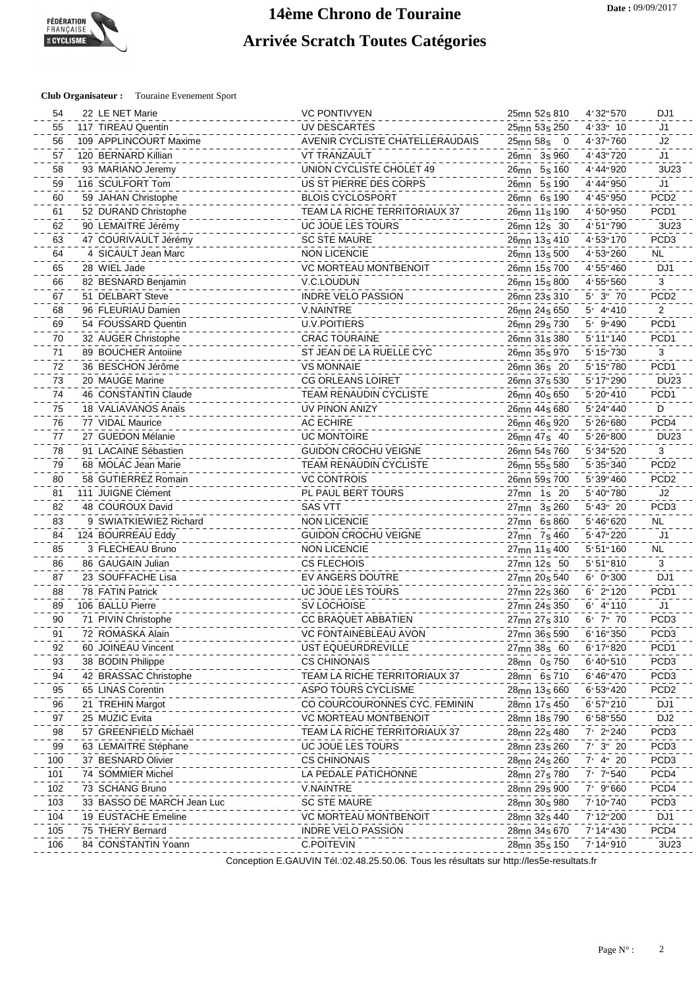## **14ème Chrono de Touraine Arrivée Scratch Toutes Catégories**

#### **Club Organisateur :** Touraine Evenement Sport

| 54  | 22 LE NET Marie            | <b>VC PONTIVYEN</b>             | 25mn 52s 810                         | 4'32"570      | DJ1              |
|-----|----------------------------|---------------------------------|--------------------------------------|---------------|------------------|
| 55  | 117 TIREAU Quentin         | UV DESCARTES                    | 25mn 53s 250                         | $4'33''$ 10   | J1               |
| 56  | 109 APPLINCOURT Maxime     | AVENIR CYCLISTE CHATELLERAUDAIS | 25mn 58s 0                           | 4'37"760      | J2               |
| 57  | 120 BERNARD Killian        | <b>VT TRANZAULT</b>             | 26mn 3s 960                          | 4' 43" 720    | J <sub>1</sub>   |
| 58  | 93 MARIANO Jeremy          | UNION CYCLISTE CHOLET 49        | 26mn 5s 160                          | 4'44"920      | 3U23             |
| 59  | 116 SCULFORT Tom           | US ST PIERRE DES CORPS          | 26mn 5s 190                          | 4'44"950      | J <sub>1</sub>   |
| 60  | 59 JAHAN Christophe        | <b>BLOIS CYCLOSPORT</b>         | 26mn 6s 190                          | 4' 45" 950    | PCD <sub>2</sub> |
| 61  | 52 DURAND Christophe       | TEAM LA RICHE TERRITORIAUX 37   | 26 <sub>mn</sub> 11 <sub>s</sub> 190 | 4'50"950      | PCD1             |
| 62  | 90 LEMAITRE Jérémy         | UC JOUE LES TOURS               | 26 <sub>mn</sub> 12 <sub>s</sub> 30  | 4'51"790      | 3U23             |
| 63  | 47 COURIVAULT Jérémy       | <b>SC STE MAURE</b>             | 26 <sub>mn</sub> 13 <sub>s</sub> 410 | 4'53"170      | PCD <sub>3</sub> |
| 64  | 4 SICAULT Jean Marc        | <b>NON LICENCIE</b>             |                                      | 4' 53" 260    | <b>NL</b>        |
|     | 28 WIEL Jade               | VC MORTEAU MONTBENOIT           | 26 <sub>mn</sub> 13 <sub>s</sub> 500 | 4'55"460      | DJ1              |
| 65  | 82 BESNARD Benjamin        |                                 | 26 <sub>mn</sub> 15 <sub>s</sub> 700 |               | 3                |
| 66  |                            | V.C.LOUDUN                      | 26 <sub>mn</sub> 15 <sub>s</sub> 800 | 4'55"560      |                  |
| 67  | 51 DELBART Steve           | <b>INDRE VELO PASSION</b>       | 26 <sub>mn</sub> 23 <sub>s</sub> 310 | $5'$ $3''$ 70 | PCD <sub>2</sub> |
| 68  | 96 FLEURIAU Damien         | <b>V.NAINTRE</b>                | 26 <sub>mn</sub> 24 <sub>s</sub> 650 | $5'$ 4"410    | $\overline{2}$   |
| 69  | 54 FOUSSARD Quentin        | U.V.POITIERS                    | 26mn 29s 730                         | $5'$ 9"490    | PCD <sub>1</sub> |
| 70  | 32 AUGER Christophe        | <b>CRAC TOURAINE</b>            | 26mn 31s 380                         | 5'11''140     | PCD <sub>1</sub> |
| 71  | 89 BOUCHER Antoiine        | ST JEAN DE LA RUELLE CYC        | 26mn 35s 970                         | 5' 15" 730    | $\mathbf{3}$     |
| 72  | 36 BESCHON Jérôme          | <b>VS MONNAIE</b>               | 26mn 36s 20                          | 5' 15" 780    | PCD <sub>1</sub> |
| 73  | 20 MAUGE Marine            | <b>CG ORLEANS LOIRET</b>        | 26mn 37s 530                         | 5' 17" 290    | <b>DU23</b>      |
| 74  | 46 CONSTANTIN Claude       | <b>TEAM RENAUDIN CYCLISTE</b>   | 26mn 40s 650                         | 5' 20" 410    | PCD <sub>1</sub> |
| 75  | 18 VALIAVANOS Anaïs        | UV PINON ANIZY                  | 26mn 44s 680                         | 5' 24" 440    | D                |
| 76  | 77 VIDAL Maurice           | <b>AC ECHIRE</b>                | 26mn 46s 920                         | 5' 26" 680    | PCD4             |
| 77  | 27 GUEDON Mélanie          | <b>UC MONTOIRE</b>              | 26mn 47s 40                          | 5' 26" 800    | <b>DU23</b>      |
| 78  | 91 LACAINE Sébastien       | <b>GUIDON CROCHU VEIGNE</b>     | 26mn 54s 760                         | 5' 34" 520    | 3                |
| 79  | 68 MOLAC Jean Marie        | TEAM RENAUDIN CYCLISTE          | 26mn 55s 580                         | 5' 35" 340    | PCD <sub>2</sub> |
| 80  | 58 GUTIERREZ Romain        | <b>VC CONTROIS</b>              | 26mn 59s 700                         | 5' 39" 460    | PCD <sub>2</sub> |
| 81  | 111 JUIGNE Clément         | PL PAUL BERT TOURS              | 27mn 1s 20                           | 5' 40" 780    | J2               |
| 82  | 48 COUROUX David           | <b>SAS VTT</b>                  | 27mn 3s 260                          | 5'43" 20      | PCD <sub>3</sub> |
| 83  | 9 SWIATKIEWIEZ Richard     | <b>NON LICENCIE</b>             | 27mn 6s 860                          | 5' 46" 620    | <b>NL</b>        |
| 84  | 124 BOURREAU Eddy          | <b>GUIDON CROCHU VEIGNE</b>     | 27mn 7s 460                          | 5' 47" 220    | J <sub>1</sub>   |
| 85  | 3 FLECHEAU Bruno           | <b>NON LICENCIE</b>             | 27mn 11s 400                         | 5'51''160     | <b>NL</b>        |
| 86  | 86 GAUGAIN Julian          | <b>CS FLECHOIS</b>              | 27mn 12s 50                          | 5'51''810     | 3                |
| 87  | 23 SOUFFACHE Lisa          | EV ANGERS DOUTRE                | 27mn 20s 540                         | 6' 0"300      | DJ1              |
| 88  | 78 FATIN Patrick           | UC JOUE LES TOURS               | 27mn 22s 360                         | $6'$ 2" 120   | PCD <sub>1</sub> |
| 89  | 106 BALLU Pierre           | <b>SV LOCHOISE</b>              | 27mn 24s 350                         | $6'$ 4"110    | J <sub>1</sub>   |
| 90  | 71 PIVIN Christophe        | CC BRAQUET ABBATIEN             | 27mn 27s 310                         | $6'$ 7" 70    | PCD <sub>3</sub> |
| 91  | 72 ROMASKA Alain           | VC FONTAINEBLEAU AVON           | 27mn 36s 590                         | 6'16''350     | PCD <sub>3</sub> |
|     |                            |                                 |                                      |               | PCD <sub>1</sub> |
| 92  | 60 JOINEAU Vincent         | UST EQUEURDREVILLE              | 27mn 38s 60                          | 6' 17" 820    | PCD <sub>3</sub> |
| 93  | 38 BODIN Philippe          | <b>CS CHINONAIS</b>             | 28mn 0s 750                          | 6'40''510     |                  |
| 94  | 42 BRASSAC Christophe      | TEAM LA RICHE TERRITORIAUX 37   | 28mn 6s 710                          | 6'46"470      | PCD <sub>3</sub> |
| 95  | 65 LINAS Corentin          | ASPO TOURS CYCLISME             | 28mn 13s 660                         | 6'53''420     | PCD <sub>2</sub> |
| 96  | 21 TREHIN Margot           | CO COURCOURONNES CYC. FEMININ   | 28mn 17s 450                         | 6'57"210      | DJ1              |
| 97  | 25 MUZIC Evita             | <b>VC MORTEAU MONTBENOIT</b>    | 28mn 18s 790                         | 6'58''550     | DJ <sub>2</sub>  |
| 98  | 57 GREENFIELD Michaël      | TEAM LA RICHE TERRITORIAUX 37   | 28mn 22s 480                         | $7'$ 2"240    | PCD <sub>3</sub> |
| 99  | 63 LEMAITRE Stéphane       | UC JOUE LES TOURS               | 28mn 23s 260                         | 7' 3" 20      | PCD <sub>3</sub> |
| 100 | 37 BESNARD Olivier         | <b>CS CHINONAIS</b>             | 28mn 24s 260                         | $7'$ 4" 20    | PCD <sub>3</sub> |
| 101 | 74 SOMMIER Michel          | LA PEDALE PATICHONNE            | 28mn 27s 780                         | 7' 7"540      | PCD4             |
| 102 | 73 SCHANG Bruno            | V.NAINTRE                       | 28mn 29s 900                         | $7'$ 9"660    | PCD4             |
| 103 | 33 BASSO DE MARCH Jean Luc | <b>SC STE MAURE</b>             | 28mn 30s 980                         | 7' 10" 740    | PCD <sub>3</sub> |
| 104 | 19 EUSTACHE Emeline        | <b>VC MORTEAU MONTBENOIT</b>    | 28mn 32s 440                         | 7' 12" 200    | DJ1              |
| 105 | 75 THERY Bernard           | <b>INDRE VELO PASSION</b>       | 28mn 34s 670                         | 7' 14" 430    | PCD4             |
| 106 | 84 CONSTANTIN Yoann        | C.POITEVIN                      | 28mn 35s 150                         | 7'14''910     | 3U23             |
|     |                            |                                 |                                      |               |                  |

Conception E.GAUVIN Tél.:02.48.25.50.06. Tous les résultats sur http://les5e-resultats.fr